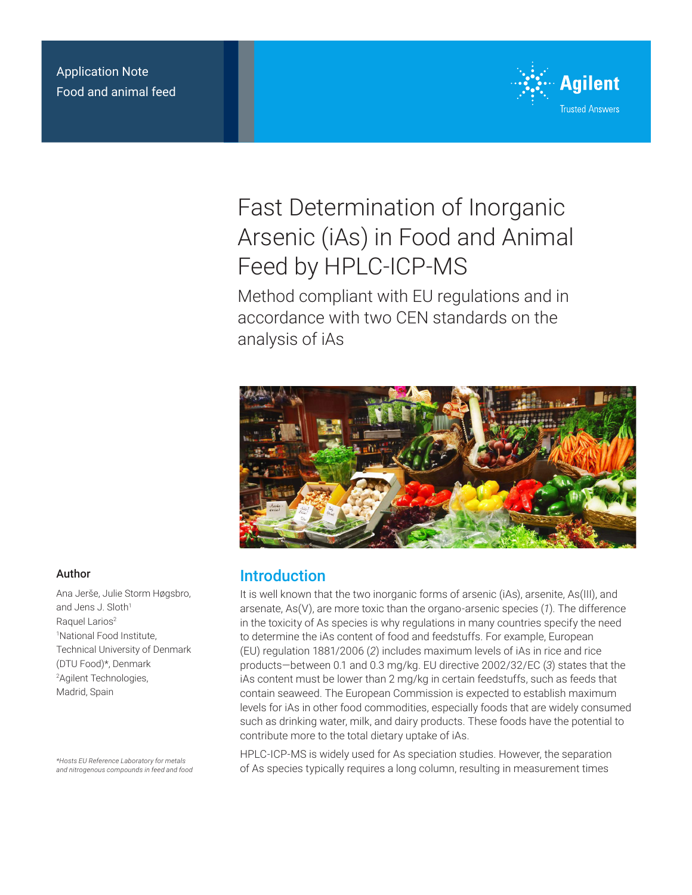### Application Note Food and animal feed



# Fast Determination of Inorganic Arsenic (iAs) in Food and Animal Feed by HPLC-ICP-MS

Method compliant with EU regulations and in accordance with two CEN standards on the analysis of iAs



# Introduction

It is well known that the two inorganic forms of arsenic (iAs), arsenite, As(III), and arsenate, As(V), are more toxic than the organo-arsenic species (*1*). The difference in the toxicity of As species is why regulations in many countries specify the need to determine the iAs content of food and feedstuffs. For example, European (EU) regulation 1881/2006 (*2*) includes maximum levels of iAs in rice and rice products—between 0.1 and 0.3 mg/kg. EU directive 2002/32/EC (*3*) states that the iAs content must be lower than 2 mg/kg in certain feedstuffs, such as feeds that contain seaweed. The European Commission is expected to establish maximum levels for iAs in other food commodities, especially foods that are widely consumed such as drinking water, milk, and dairy products. These foods have the potential to contribute more to the total dietary uptake of iAs.

HPLC-ICP-MS is widely used for As speciation studies. However, the separation of As species typically requires a long column, resulting in measurement times

#### Author

Ana Jerše, Julie Storm Høgsbro, and Jens J. Sloth<sup>1</sup> Raquel Larios<sup>2</sup> 1 National Food Institute, Technical University of Denmark (DTU Food)\*, Denmark 2 Agilent Technologies, Madrid, Spain

*\*Hosts EU Reference Laboratory for metals and nitrogenous compounds in feed and food*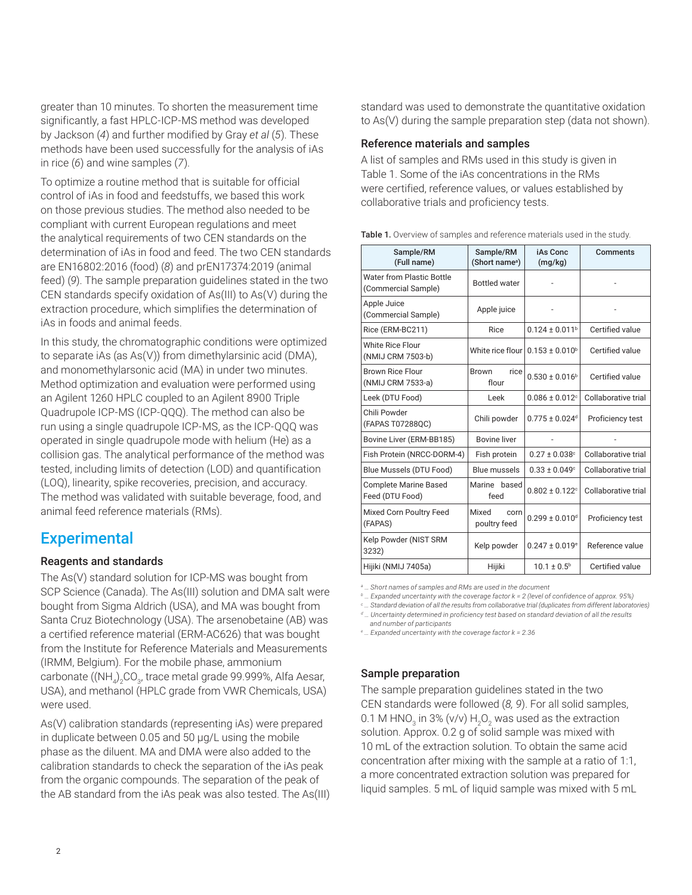greater than 10 minutes. To shorten the measurement time significantly, a fast HPLC-ICP-MS method was developed by Jackson (*4*) and further modified by Gray *et al* (*5*). These methods have been used successfully for the analysis of iAs in rice (*6*) and wine samples (*7*).

To optimize a routine method that is suitable for official control of iAs in food and feedstuffs, we based this work on those previous studies. The method also needed to be compliant with current European regulations and meet the analytical requirements of two CEN standards on the determination of iAs in food and feed. The two CEN standards are EN16802:2016 (food) (*8*) and prEN17374:2019 (animal feed) (*9*). The sample preparation guidelines stated in the two CEN standards specify oxidation of As(III) to As(V) during the extraction procedure, which simplifies the determination of iAs in foods and animal feeds.

In this study, the chromatographic conditions were optimized to separate iAs (as As(V)) from dimethylarsinic acid (DMA), and monomethylarsonic acid (MA) in under two minutes. Method optimization and evaluation were performed using an Agilent 1260 HPLC coupled to an Agilent 8900 Triple Quadrupole ICP-MS (ICP-QQQ). The method can also be run using a single quadrupole ICP-MS, as the ICP-QQQ was operated in single quadrupole mode with helium (He) as a collision gas. The analytical performance of the method was tested, including limits of detection (LOD) and quantification (LOQ), linearity, spike recoveries, precision, and accuracy. The method was validated with suitable beverage, food, and animal feed reference materials (RMs).

# **Experimental**

#### Reagents and standards

The As(V) standard solution for ICP-MS was bought from SCP Science (Canada). The As(III) solution and DMA salt were bought from Sigma Aldrich (USA), and MA was bought from Santa Cruz Biotechnology (USA). The arsenobetaine (AB) was a certified reference material (ERM-AC626) that was bought from the Institute for Reference Materials and Measurements (IRMM, Belgium). For the mobile phase, ammonium carbonate ((NH<sub>4</sub>)<sub>2</sub>CO<sub>3</sub>, trace metal grade 99.999%, Alfa Aesar, USA), and methanol (HPLC grade from VWR Chemicals, USA) were used.

As(V) calibration standards (representing iAs) were prepared in duplicate between 0.05 and 50 µg/L using the mobile phase as the diluent. MA and DMA were also added to the calibration standards to check the separation of the iAs peak from the organic compounds. The separation of the peak of the AB standard from the iAs peak was also tested. The As(III)

standard was used to demonstrate the quantitative oxidation to As(V) during the sample preparation step (data not shown).

#### Reference materials and samples

A list of samples and RMs used in this study is given in Table 1. Some of the iAs concentrations in the RMs were certified, reference values, or values established by collaborative trials and proficiency tests.

|  |  | Table 1. Overview of samples and reference materials used in the study. |  |
|--|--|-------------------------------------------------------------------------|--|
|--|--|-------------------------------------------------------------------------|--|

| Sample/RM<br>(Full name)                         | Sample/RM<br>(Short name <sup>a</sup> ) | iAs Conc<br>(mg/kg)            | Comments            |  |
|--------------------------------------------------|-----------------------------------------|--------------------------------|---------------------|--|
| Water from Plastic Bottle<br>(Commercial Sample) | <b>Bottled</b> water                    |                                |                     |  |
| Apple Juice<br>(Commercial Sample)               | Apple juice                             |                                |                     |  |
| Rice (ERM-BC211)                                 | Rice                                    | $0.124 \pm 0.011$ <sup>b</sup> | Certified value     |  |
| <b>White Rice Flour</b><br>(NMIJ CRM 7503-b)     | White rice flour $0.153 \pm 0.010^6$    |                                | Certified value     |  |
| <b>Brown Rice Flour</b><br>(NMIJ CRM 7533-a)     | <b>Brown</b><br>rice<br>flour           | $0.530 \pm 0.016^b$            | Certified value     |  |
| Leek (DTU Food)                                  | Leek                                    | $0.086 \pm 0.012$ <sup>c</sup> | Collaborative trial |  |
| Chili Powder<br>(FAPAS T07288QC)                 | Chili powder                            | $0.775 \pm 0.024$ <sup>d</sup> | Proficiency test    |  |
| Bovine Liver (ERM-BB185)                         | <b>Bovine liver</b>                     | $\overline{a}$                 |                     |  |
| Fish Protein (NRCC-DORM-4)                       | Fish protein                            | $0.27 \pm 0.038$ <sup>c</sup>  | Collaborative trial |  |
| Blue Mussels (DTU Food)                          | <b>Blue mussels</b>                     | $0.33 \pm 0.049$ <sup>c</sup>  | Collaborative trial |  |
| <b>Complete Marine Based</b><br>Feed (DTU Food)  | Marine based<br>feed                    | $0.802 \pm 0.122$ <sup>c</sup> | Collaborative trial |  |
| Mixed Corn Poultry Feed<br>(FAPAS)               | Mixed<br>corn<br>poultry feed           | $0.299 \pm 0.010$ <sup>d</sup> | Proficiency test    |  |
| Kelp Powder (NIST SRM<br>3232)                   | Kelp powder                             | $0.247 \pm 0.019$ <sup>e</sup> | Reference value     |  |
| Hijiki (NMIJ 7405a)                              | Hijiki                                  | $10.1 \pm 0.5^{\circ}$         | Certified value     |  |

*a … Short names of samples and RMs are used in the document*

*b … Expanded uncertainty with the coverage factor k = 2 (level of confidence of approx. 95%)*

*c … Standard deviation of all the results from collaborative trial (duplicates from different laboratories)*

*d … Uncertainty determined in proficiency test based on standard deviation of all the results* 

*and number of participants*

*e … Expanded uncertainty with the coverage factor k = 2.36*

#### Sample preparation

The sample preparation guidelines stated in the two CEN standards were followed (*8, 9*). For all solid samples, 0.1 M HNO $_3$  in 3% (v/v)  $\rm H_2O_2$  was used as the extraction solution. Approx. 0.2 g of solid sample was mixed with 10 mL of the extraction solution. To obtain the same acid concentration after mixing with the sample at a ratio of 1:1, a more concentrated extraction solution was prepared for liquid samples. 5 mL of liquid sample was mixed with 5 mL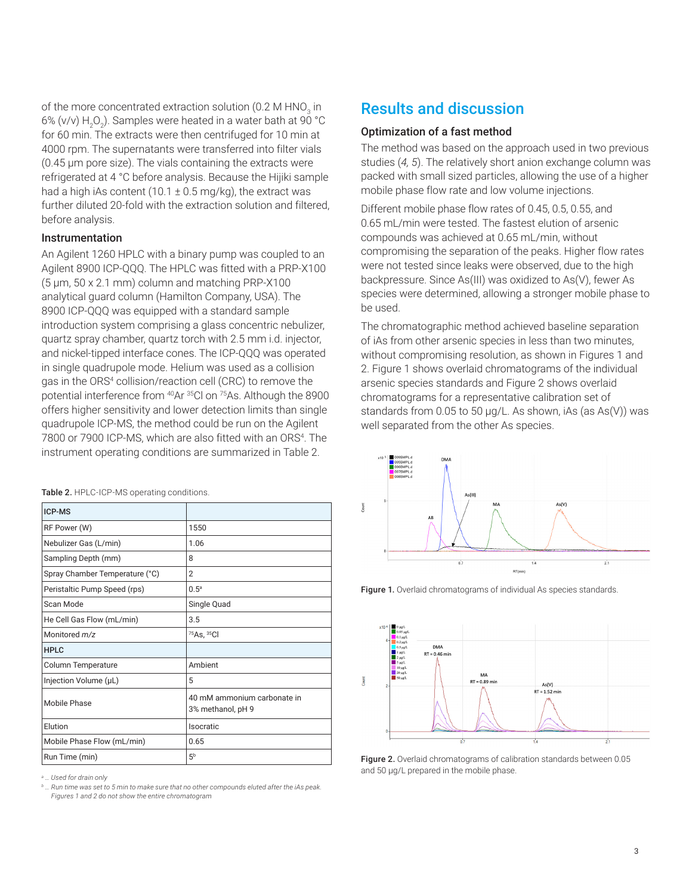of the more concentrated extraction solution (0.2 M HNO $_{\rm_3}$  in 6% (v/v)  $\rm H_2O_2$ ). Samples were heated in a water bath at 90 °C for 60 min. The extracts were then centrifuged for 10 min at 4000 rpm. The supernatants were transferred into filter vials (0.45 µm pore size). The vials containing the extracts were refrigerated at 4 °C before analysis. Because the Hijiki sample had a high iAs content  $(10.1 \pm 0.5 \,\text{mg/kg})$ , the extract was further diluted 20-fold with the extraction solution and filtered, before analysis.

#### Instrumentation

An Agilent 1260 HPLC with a binary pump was coupled to an Agilent 8900 ICP-QQQ. The HPLC was fitted with a PRP-X100 (5 μm, 50 x 2.1 mm) column and matching PRP-X100 analytical guard column (Hamilton Company, USA). The 8900 ICP-QQQ was equipped with a standard sample introduction system comprising a glass concentric nebulizer, quartz spray chamber, quartz torch with 2.5 mm i.d. injector, and nickel-tipped interface cones. The ICP-QQQ was operated in single quadrupole mode. Helium was used as a collision gas in the ORS4 collision/reaction cell (CRC) to remove the potential interference from 40Ar 35Cl on 75As. Although the 8900 offers higher sensitivity and lower detection limits than single quadrupole ICP-MS, the method could be run on the Agilent 7800 or 7900 ICP-MS, which are also fitted with an ORS<sup>4</sup>. The instrument operating conditions are summarized in Table 2.

| ICP-MS                         |                                                  |
|--------------------------------|--------------------------------------------------|
| RF Power (W)                   | 1550                                             |
| Nebulizer Gas (L/min)          | 1.06                                             |
| Sampling Depth (mm)            | 8                                                |
| Spray Chamber Temperature (°C) | 2                                                |
| Peristaltic Pump Speed (rps)   | 0.5 <sup>a</sup>                                 |
| Scan Mode                      | Single Quad                                      |
| He Cell Gas Flow (mL/min)      | 3.5                                              |
| Monitored m/z                  | 75As, 35Cl                                       |
| <b>HPLC</b>                    |                                                  |
| Column Temperature             | Ambient                                          |
| Injection Volume (µL)          | 5                                                |
| Mobile Phase                   | 40 mM ammonium carbonate in<br>3% methanol, pH 9 |
| Elution                        | Isocratic                                        |
| Mobile Phase Flow (mL/min)     | 0.65                                             |
| Run Time (min)                 | 5 <sup>b</sup>                                   |

Table 2. HPLC-ICP-MS operating conditions.

*a … Used for drain only*

*b … Run time was set to 5 min to make sure that no other compounds eluted after the iAs peak. Figures 1 and 2 do not show the entire chromatogram*

# Results and discussion

#### Optimization of a fast method

The method was based on the approach used in two previous studies (*4, 5*). The relatively short anion exchange column was packed with small sized particles, allowing the use of a higher mobile phase flow rate and low volume injections.

Different mobile phase flow rates of 0.45, 0.5, 0.55, and 0.65 mL/min were tested. The fastest elution of arsenic compounds was achieved at 0.65 mL/min, without compromising the separation of the peaks. Higher flow rates were not tested since leaks were observed, due to the high backpressure. Since As(III) was oxidized to As(V), fewer As species were determined, allowing a stronger mobile phase to be used.

The chromatographic method achieved baseline separation of iAs from other arsenic species in less than two minutes, without compromising resolution, as shown in Figures 1 and 2. Figure 1 shows overlaid chromatograms of the individual arsenic species standards and Figure 2 shows overlaid chromatograms for a representative calibration set of standards from 0.05 to 50 μg/L. As shown, iAs (as As(V)) was well separated from the other As species.



Figure 1. Overlaid chromatograms of individual As species standards.



Figure 2. Overlaid chromatograms of calibration standards between 0.05 and 50 μg/L prepared in the mobile phase.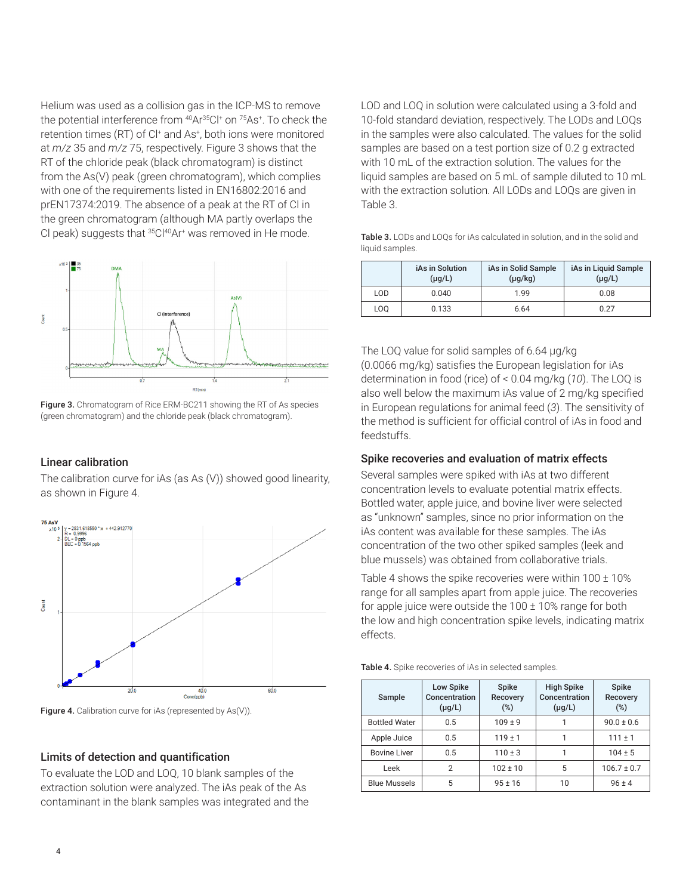Helium was used as a collision gas in the ICP-MS to remove the potential interference from 40Ar35Cl+ on 75As+ . To check the retention times (RT) of C<sup>+</sup> and As<sup>+</sup>, both ions were monitored at *m/z* 35 and *m/z* 75, respectively. Figure 3 shows that the RT of the chloride peak (black chromatogram) is distinct from the As(V) peak (green chromatogram), which complies with one of the requirements listed in EN16802:2016 and prEN17374:2019. The absence of a peak at the RT of Cl in the green chromatogram (although MA partly overlaps the CI peak) suggests that <sup>35</sup>CI<sup>40</sup>Ar<sup>+</sup> was removed in He mode.



Figure 3. Chromatogram of Rice ERM-BC211 showing the RT of As species (green chromatogram) and the chloride peak (black chromatogram).

#### Linear calibration

The calibration curve for iAs (as As (V)) showed good linearity, as shown in Figure 4.



Figure 4. Calibration curve for iAs (represented by As(V)).

#### Limits of detection and quantification

To evaluate the LOD and LOQ, 10 blank samples of the extraction solution were analyzed. The iAs peak of the As contaminant in the blank samples was integrated and the LOD and LOQ in solution were calculated using a 3-fold and 10-fold standard deviation, respectively. The LODs and LOQs in the samples were also calculated. The values for the solid samples are based on a test portion size of 0.2 g extracted with 10 mL of the extraction solution. The values for the liquid samples are based on 5 mL of sample diluted to 10 mL with the extraction solution. All LODs and LOQs are given in Table 3.

| <b>Table 3.</b> LODs and LOQs for iAs calculated in solution, and in the solid and |
|------------------------------------------------------------------------------------|
| liquid samples.                                                                    |

|                 | iAs in Solution<br>$(\mu g/L)$ | iAs in Solid Sample<br>$(\mu g/kg)$ | iAs in Liquid Sample<br>$(\mu g/L)$ |
|-----------------|--------------------------------|-------------------------------------|-------------------------------------|
| LOD             | 0.040                          | 1.99                                | 0.08                                |
| LO <sub>O</sub> | 0.133                          | 6.64                                | 0.27                                |

The LOQ value for solid samples of 6.64 μg/kg (0.0066 mg/kg) satisfies the European legislation for iAs determination in food (rice) of < 0.04 mg/kg (*10*). The LOQ is also well below the maximum iAs value of 2 mg/kg specified in European regulations for animal feed (*3*). The sensitivity of the method is sufficient for official control of iAs in food and feedstuffs.

#### Spike recoveries and evaluation of matrix effects

Several samples were spiked with iAs at two different concentration levels to evaluate potential matrix effects. Bottled water, apple juice, and bovine liver were selected as "unknown" samples, since no prior information on the iAs content was available for these samples. The iAs concentration of the two other spiked samples (leek and blue mussels) was obtained from collaborative trials.

Table 4 shows the spike recoveries were within  $100 \pm 10\%$ range for all samples apart from apple juice. The recoveries for apple juice were outside the  $100 \pm 10\%$  range for both the low and high concentration spike levels, indicating matrix effects.

|  |  | Table 4. Spike recoveries of iAs in selected samples. |  |  |  |
|--|--|-------------------------------------------------------|--|--|--|
|--|--|-------------------------------------------------------|--|--|--|

| Sample               | Low Spike<br>Concentration<br>$(\mu g/L)$ | Spike<br><b>Recovery</b><br>$(\%)$ | <b>High Spike</b><br>Concentration<br>$(\mu g/L)$ | <b>Spike</b><br><b>Recovery</b><br>(%) |
|----------------------|-------------------------------------------|------------------------------------|---------------------------------------------------|----------------------------------------|
| <b>Bottled Water</b> | 0.5                                       | $109 \pm 9$                        |                                                   | $90.0 \pm 0.6$                         |
| Apple Juice          | 0.5                                       | $119 \pm 1$                        |                                                   | $111 \pm 1$                            |
| <b>Bovine Liver</b>  | 0.5                                       | $110 \pm 3$                        | 1                                                 | $104 \pm 5$                            |
| Leek                 | 2                                         | $102 \pm 10$                       | 5                                                 | $106.7 \pm 0.7$                        |
| <b>Blue Mussels</b>  | 5                                         | $95 \pm 16$                        | 10                                                | $96 \pm 4$                             |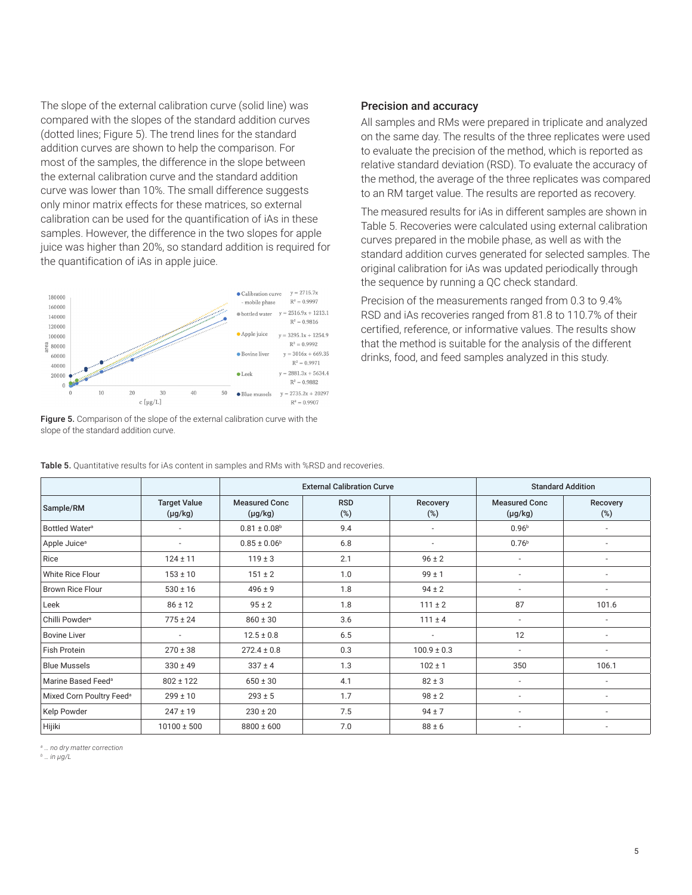The slope of the external calibration curve (solid line) was compared with the slopes of the standard addition curves (dotted lines; Figure 5). The trend lines for the standard addition curves are shown to help the comparison. For most of the samples, the difference in the slope between the external calibration curve and the standard addition curve was lower than 10%. The small difference suggests only minor matrix effects for these matrices, so external calibration can be used for the quantification of iAs in these samples. However, the difference in the two slopes for apple juice was higher than 20%, so standard addition is required for the quantification of iAs in apple juice.



#### Figure 5. Comparison of the slope of the external calibration curve with the slope of the standard addition curve.

#### Precision and accuracy

All samples and RMs were prepared in triplicate and analyzed on the same day. The results of the three replicates were used to evaluate the precision of the method, which is reported as relative standard deviation (RSD). To evaluate the accuracy of the method, the average of the three replicates was compared to an RM target value. The results are reported as recovery.

The measured results for iAs in different samples are shown in Table 5. Recoveries were calculated using external calibration curves prepared in the mobile phase, as well as with the standard addition curves generated for selected samples. The original calibration for iAs was updated periodically through the sequence by running a QC check standard.

Precision of the measurements ranged from 0.3 to 9.4% RSD and iAs recoveries ranged from 81.8 to 110.7% of their certified, reference, or informative values. The results show that the method is suitable for the analysis of the different drinks, food, and feed samples analyzed in this study.

|                                      |                                     | <b>External Calibration Curve</b>    |                   |                          |                                      | <b>Standard Addition</b> |
|--------------------------------------|-------------------------------------|--------------------------------------|-------------------|--------------------------|--------------------------------------|--------------------------|
| Sample/RM                            | <b>Target Value</b><br>$(\mu g/kg)$ | <b>Measured Conc</b><br>$(\mu g/kg)$ | <b>RSD</b><br>(%) | Recovery<br>$(\%)$       | <b>Measured Conc</b><br>$(\mu g/kg)$ | Recovery<br>$(\%)$       |
| Bottled Water <sup>a</sup>           |                                     | $0.81 \pm 0.08$ <sup>b</sup>         | 9.4               | $\overline{\phantom{a}}$ | 0.96 <sup>b</sup>                    | $\overline{\phantom{a}}$ |
| Apple Juice <sup>a</sup>             | ٠                                   | $0.85 \pm 0.06^b$                    | 6.8               | $\overline{\phantom{a}}$ | 0.76 <sup>b</sup>                    | $\overline{a}$           |
| Rice                                 | $124 \pm 11$                        | $119 \pm 3$                          | 2.1               | $96 \pm 2$               | $\overline{\phantom{a}}$             | ٠                        |
| White Rice Flour                     | $153 \pm 10$                        | $151 \pm 2$                          | 1.0               | $99 \pm 1$               |                                      | ٠                        |
| Brown Rice Flour                     | $530 \pm 16$                        | $496 \pm 9$                          | 1.8               | $94 \pm 2$               |                                      | $\overline{a}$           |
| Leek                                 | $86 \pm 12$                         | $95 \pm 2$                           | 1.8               | $111 \pm 2$              | 87                                   | 101.6                    |
| Chilli Powder <sup>a</sup>           | $775 \pm 24$                        | $860 \pm 30$                         | 3.6               | $111 \pm 4$              | $\overline{\phantom{a}}$             | $\overline{a}$           |
| <b>Bovine Liver</b>                  | ٠                                   | $12.5 \pm 0.8$                       | 6.5               | $\overline{\phantom{a}}$ | 12                                   | ٠                        |
| Fish Protein                         | $270 \pm 38$                        | $272.4 \pm 0.8$                      | 0.3               | $100.9 \pm 0.3$          | $\overline{\phantom{a}}$             | ٠                        |
| <b>Blue Mussels</b>                  | $330 \pm 49$                        | $337 \pm 4$                          | 1.3               | $102 \pm 1$              | 350                                  | 106.1                    |
| Marine Based Feed <sup>a</sup>       | $802 \pm 122$                       | $650 \pm 30$                         | 4.1               | $82 \pm 3$               |                                      | ٠                        |
| Mixed Corn Poultry Feed <sup>a</sup> | $299 \pm 10$                        | $293 \pm 5$                          | 1.7               | $98 \pm 2$               |                                      | ٠                        |
| Kelp Powder                          | $247 \pm 19$                        | $230 \pm 20$                         | 7.5               | $94 \pm 7$               | $\overline{\phantom{a}}$             | ٠                        |
| Hijiki                               | $10100 \pm 500$                     | $8800 \pm 600$                       | 7.0               | $88 \pm 6$               | $\overline{\phantom{a}}$             |                          |

Table 5. Quantitative results for iAs content in samples and RMs with %RSD and recoveries.

*a … no dry matter correction*

*b … in μg/L*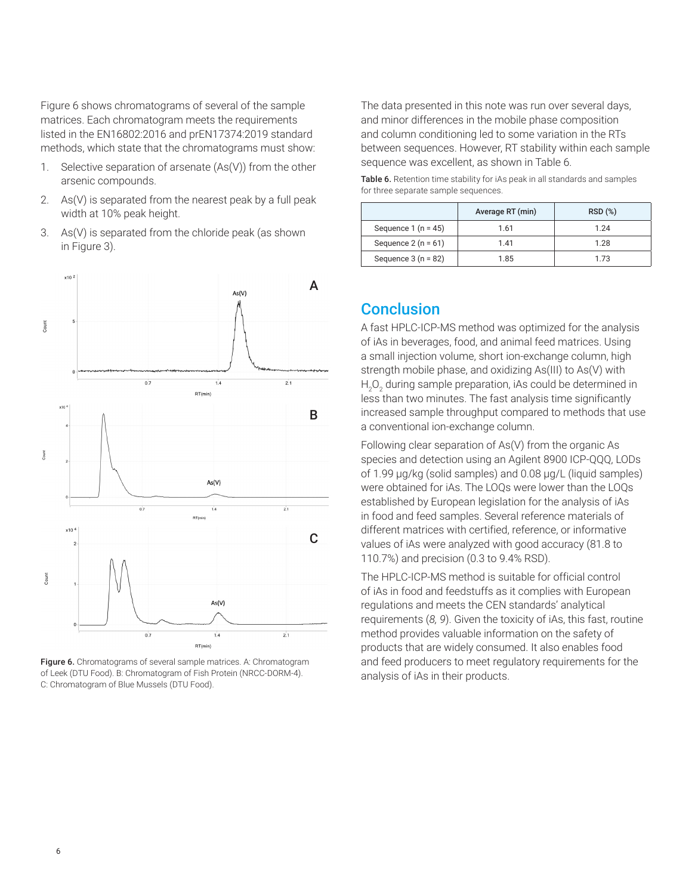Figure 6 shows chromatograms of several of the sample matrices. Each chromatogram meets the requirements listed in the EN16802:2016 and prEN17374:2019 standard methods, which state that the chromatograms must show:

- 1. Selective separation of arsenate (As(V)) from the other arsenic compounds.
- 2. As(V) is separated from the nearest peak by a full peak width at 10% peak height.
- 3. As(V) is separated from the chloride peak (as shown in Figure 3).



Figure 6. Chromatograms of several sample matrices. A: Chromatogram of Leek (DTU Food). B: Chromatogram of Fish Protein (NRCC-DORM-4). C: Chromatogram of Blue Mussels (DTU Food).

The data presented in this note was run over several days, and minor differences in the mobile phase composition and column conditioning led to some variation in the RTs between sequences. However, RT stability within each sample sequence was excellent, as shown in Table 6.

Table 6. Retention time stability for iAs peak in all standards and samples for three separate sample sequences.

|                      | Average RT (min) | RSD(%) |
|----------------------|------------------|--------|
| Sequence $1(n = 45)$ | 1.61             | 1 24   |
| Sequence $2(n = 61)$ | 1 41             | 1.28   |
| Sequence $3(n = 82)$ | 1.85             | 1.73   |

### **Conclusion**

A fast HPLC-ICP-MS method was optimized for the analysis of iAs in beverages, food, and animal feed matrices. Using a small injection volume, short ion-exchange column, high strength mobile phase, and oxidizing As(III) to As(V) with  ${\sf H}_{\sf_2}{\sf O}_{\sf_2}$  during sample preparation, iAs could be determined in less than two minutes. The fast analysis time significantly increased sample throughput compared to methods that use a conventional ion-exchange column.

Following clear separation of As(V) from the organic As species and detection using an Agilent 8900 ICP-QQQ, LODs of 1.99 µg/kg (solid samples) and 0.08 µg/L (liquid samples) were obtained for iAs. The LOQs were lower than the LOQs established by European legislation for the analysis of iAs in food and feed samples. Several reference materials of different matrices with certified, reference, or informative values of iAs were analyzed with good accuracy (81.8 to 110.7%) and precision (0.3 to 9.4% RSD).

The HPLC-ICP-MS method is suitable for official control of iAs in food and feedstuffs as it complies with European regulations and meets the CEN standards' analytical requirements (*8, 9*). Given the toxicity of iAs, this fast, routine method provides valuable information on the safety of products that are widely consumed. It also enables food and feed producers to meet regulatory requirements for the analysis of iAs in their products.